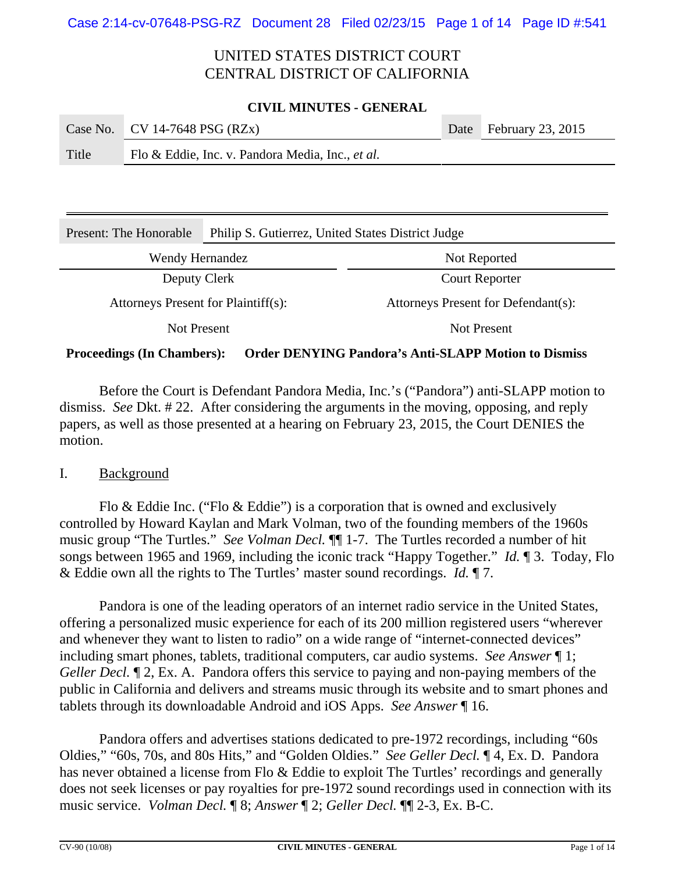#### **CIVIL MINUTES - GENERAL**

|       | Case No. CV 14-7648 PSG (RZx)                    | Date February 23, 2015 |
|-------|--------------------------------------------------|------------------------|
| Title | Flo & Eddie, Inc. v. Pandora Media, Inc., et al. |                        |

| Present: The Honorable              | Philip S. Gutierrez, United States District Judge |                                     |  |  |  |
|-------------------------------------|---------------------------------------------------|-------------------------------------|--|--|--|
| Wendy Hernandez                     |                                                   | Not Reported                        |  |  |  |
| Deputy Clerk                        |                                                   | <b>Court Reporter</b>               |  |  |  |
| Attorneys Present for Plaintiff(s): |                                                   | Attorneys Present for Defendant(s): |  |  |  |
| Not Present                         |                                                   | Not Present                         |  |  |  |

### **Proceedings (In Chambers): Order DENYING Pandora's Anti-SLAPP Motion to Dismiss**

Before the Court is Defendant Pandora Media, Inc.'s ("Pandora") anti-SLAPP motion to dismiss. *See* Dkt. # 22. After considering the arguments in the moving, opposing, and reply papers, as well as those presented at a hearing on February 23, 2015, the Court DENIES the motion.

I. Background

Flo & Eddie Inc. ("Flo & Eddie") is a corporation that is owned and exclusively controlled by Howard Kaylan and Mark Volman, two of the founding members of the 1960s music group "The Turtles." *See Volman Decl.* ¶¶ 1-7. The Turtles recorded a number of hit songs between 1965 and 1969, including the iconic track "Happy Together." *Id.* ¶ 3. Today, Flo & Eddie own all the rights to The Turtles' master sound recordings. *Id.* ¶ 7.

Pandora is one of the leading operators of an internet radio service in the United States, offering a personalized music experience for each of its 200 million registered users "wherever and whenever they want to listen to radio" on a wide range of "internet-connected devices" including smart phones, tablets, traditional computers, car audio systems. *See Answer* ¶ 1; *Geller Decl.*  $\mathbb{I}$  2, Ex. A. Pandora offers this service to paying and non-paying members of the public in California and delivers and streams music through its website and to smart phones and tablets through its downloadable Android and iOS Apps. *See Answer* ¶ 16.

Pandora offers and advertises stations dedicated to pre-1972 recordings, including "60s Oldies," "60s, 70s, and 80s Hits," and "Golden Oldies." *See Geller Decl.* ¶ 4, Ex. D. Pandora has never obtained a license from Flo & Eddie to exploit The Turtles' recordings and generally does not seek licenses or pay royalties for pre-1972 sound recordings used in connection with its music service. *Volman Decl.* ¶ 8; *Answer* ¶ 2; *Geller Decl.* ¶¶ 2-3, Ex. B-C.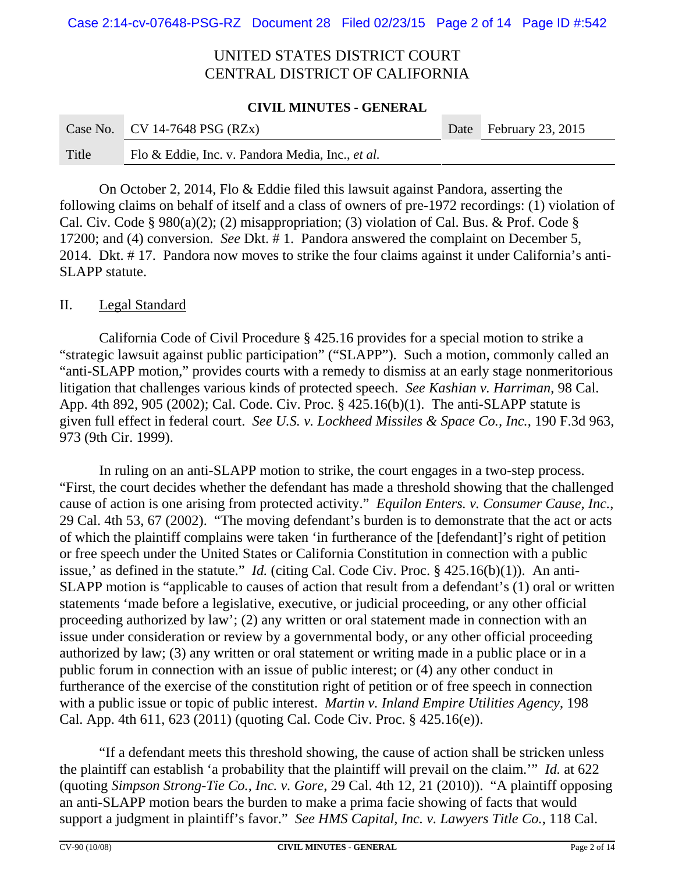#### **CIVIL MINUTES - GENERAL**

|       | Case No. $\vert$ CV 14-7648 PSG (RZx)            | Date February 23, 2015 |
|-------|--------------------------------------------------|------------------------|
| Title | Flo & Eddie, Inc. v. Pandora Media, Inc., et al. |                        |

On October 2, 2014, Flo & Eddie filed this lawsuit against Pandora, asserting the following claims on behalf of itself and a class of owners of pre-1972 recordings: (1) violation of Cal. Civ. Code § 980(a)(2); (2) misappropriation; (3) violation of Cal. Bus. & Prof. Code § 17200; and (4) conversion. *See* Dkt. # 1. Pandora answered the complaint on December 5, 2014. Dkt. # 17. Pandora now moves to strike the four claims against it under California's anti-SLAPP statute.

### II. Legal Standard

California Code of Civil Procedure § 425.16 provides for a special motion to strike a "strategic lawsuit against public participation" ("SLAPP"). Such a motion, commonly called an "anti-SLAPP motion," provides courts with a remedy to dismiss at an early stage nonmeritorious litigation that challenges various kinds of protected speech. *See Kashian v. Harriman*, 98 Cal. App. 4th 892, 905 (2002); Cal. Code. Civ. Proc. § 425.16(b)(1). The anti-SLAPP statute is given full effect in federal court. *See U.S. v. Lockheed Missiles & Space Co., Inc.*, 190 F.3d 963, 973 (9th Cir. 1999).

In ruling on an anti-SLAPP motion to strike, the court engages in a two-step process. "First, the court decides whether the defendant has made a threshold showing that the challenged cause of action is one arising from protected activity." *Equilon Enters. v. Consumer Cause, Inc.*, 29 Cal. 4th 53, 67 (2002). "The moving defendant's burden is to demonstrate that the act or acts of which the plaintiff complains were taken 'in furtherance of the [defendant]'s right of petition or free speech under the United States or California Constitution in connection with a public issue,' as defined in the statute." *Id.* (citing Cal. Code Civ. Proc. § 425.16(b)(1)). An anti-SLAPP motion is "applicable to causes of action that result from a defendant's (1) oral or written statements 'made before a legislative, executive, or judicial proceeding, or any other official proceeding authorized by law'; (2) any written or oral statement made in connection with an issue under consideration or review by a governmental body, or any other official proceeding authorized by law; (3) any written or oral statement or writing made in a public place or in a public forum in connection with an issue of public interest; or (4) any other conduct in furtherance of the exercise of the constitution right of petition or of free speech in connection with a public issue or topic of public interest. *Martin v. Inland Empire Utilities Agency*, 198 Cal. App. 4th 611, 623 (2011) (quoting Cal. Code Civ. Proc. § 425.16(e)).

"If a defendant meets this threshold showing, the cause of action shall be stricken unless the plaintiff can establish 'a probability that the plaintiff will prevail on the claim.'" *Id.* at 622 (quoting *Simpson Strong-Tie Co., Inc. v. Gore*, 29 Cal. 4th 12, 21 (2010)). "A plaintiff opposing an anti-SLAPP motion bears the burden to make a prima facie showing of facts that would support a judgment in plaintiff's favor." *See HMS Capital, Inc. v. Lawyers Title Co.*, 118 Cal.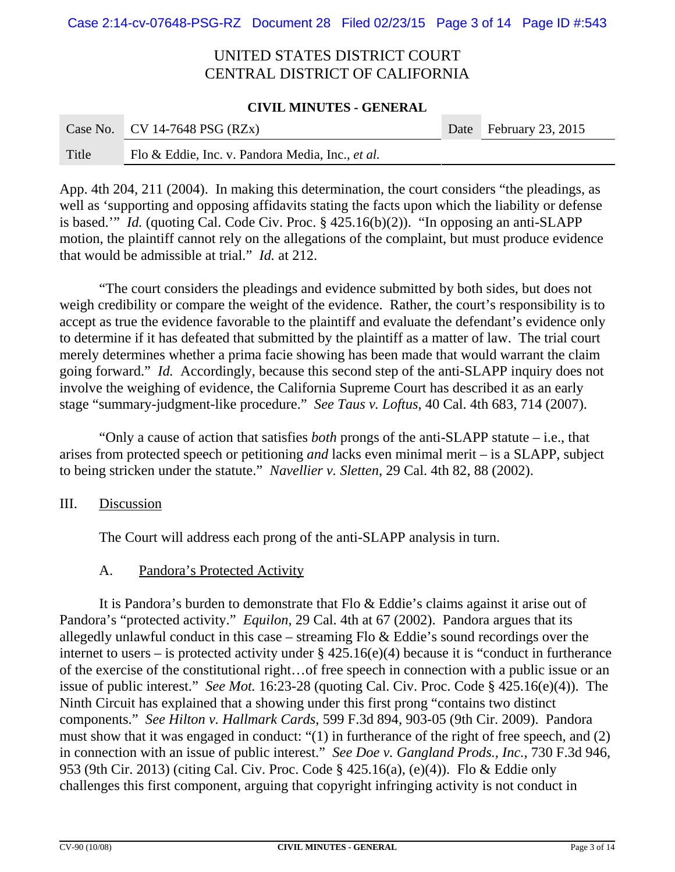#### **CIVIL MINUTES - GENERAL**

|       | Case No. CV 14-7648 PSG $(RZx)$                  | Date February 23, 2015 |
|-------|--------------------------------------------------|------------------------|
| Title | Flo & Eddie, Inc. v. Pandora Media, Inc., et al. |                        |

App. 4th 204, 211 (2004). In making this determination, the court considers "the pleadings, as well as 'supporting and opposing affidavits stating the facts upon which the liability or defense is based.'" *Id.* (quoting Cal. Code Civ. Proc. § 425.16(b)(2)). "In opposing an anti-SLAPP motion, the plaintiff cannot rely on the allegations of the complaint, but must produce evidence that would be admissible at trial." *Id.* at 212.

"The court considers the pleadings and evidence submitted by both sides, but does not weigh credibility or compare the weight of the evidence. Rather, the court's responsibility is to accept as true the evidence favorable to the plaintiff and evaluate the defendant's evidence only to determine if it has defeated that submitted by the plaintiff as a matter of law. The trial court merely determines whether a prima facie showing has been made that would warrant the claim going forward." *Id.* Accordingly, because this second step of the anti-SLAPP inquiry does not involve the weighing of evidence, the California Supreme Court has described it as an early stage "summary-judgment-like procedure." *See Taus v. Loftus*, 40 Cal. 4th 683, 714 (2007).

"Only a cause of action that satisfies *both* prongs of the anti-SLAPP statute – i.e., that arises from protected speech or petitioning *and* lacks even minimal merit – is a SLAPP, subject to being stricken under the statute." *Navellier v. Sletten*, 29 Cal. 4th 82, 88 (2002).

### III. Discussion

The Court will address each prong of the anti-SLAPP analysis in turn.

### A. Pandora's Protected Activity

It is Pandora's burden to demonstrate that Flo & Eddie's claims against it arise out of Pandora's "protected activity." *Equilon*, 29 Cal. 4th at 67 (2002). Pandora argues that its allegedly unlawful conduct in this case – streaming Flo & Eddie's sound recordings over the internet to users – is protected activity under  $\S$  425.16(e)(4) because it is "conduct in furtherance of the exercise of the constitutional right…of free speech in connection with a public issue or an issue of public interest." *See Mot.* 16:23-28 (quoting Cal. Civ. Proc. Code § 425.16(e)(4)). The Ninth Circuit has explained that a showing under this first prong "contains two distinct components." *See Hilton v. Hallmark Cards*, 599 F.3d 894, 903-05 (9th Cir. 2009). Pandora must show that it was engaged in conduct: "(1) in furtherance of the right of free speech, and (2) in connection with an issue of public interest." *See Doe v. Gangland Prods., Inc.*, 730 F.3d 946, 953 (9th Cir. 2013) (citing Cal. Civ. Proc. Code § 425.16(a), (e)(4)). Flo & Eddie only challenges this first component, arguing that copyright infringing activity is not conduct in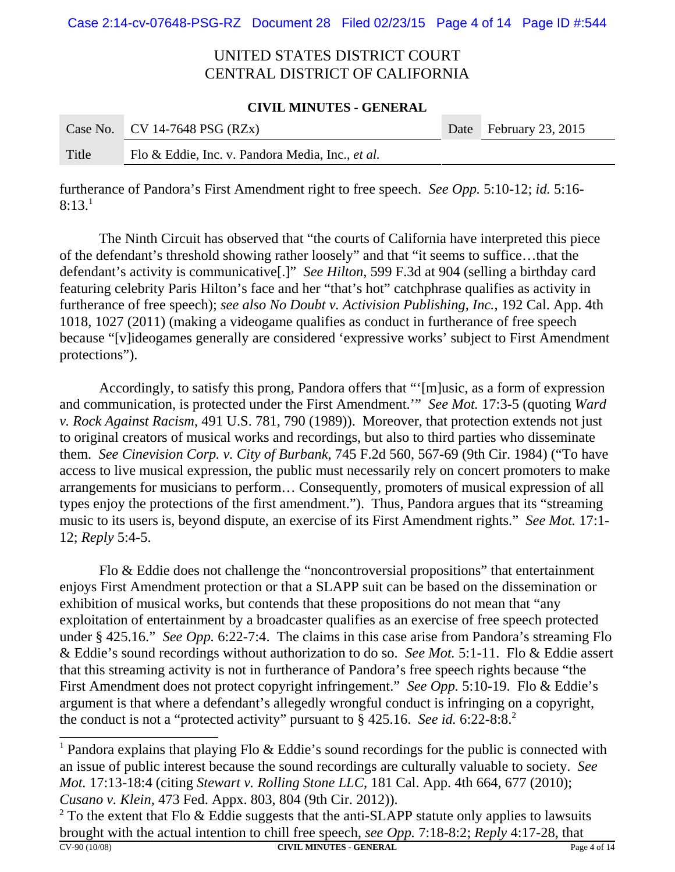#### **CIVIL MINUTES - GENERAL**

|       | Case No. CV 14-7648 PSG $(RZx)$                  | Date February 23, 2015 |
|-------|--------------------------------------------------|------------------------|
| Title | Flo & Eddie, Inc. v. Pandora Media, Inc., et al. |                        |

furtherance of Pandora's First Amendment right to free speech. *See Opp.* 5:10-12; *id.* 5:16-  $8:13<sup>1</sup>$ 

The Ninth Circuit has observed that "the courts of California have interpreted this piece of the defendant's threshold showing rather loosely" and that "it seems to suffice…that the defendant's activity is communicative[.]" *See Hilton*, 599 F.3d at 904 (selling a birthday card featuring celebrity Paris Hilton's face and her "that's hot" catchphrase qualifies as activity in furtherance of free speech); *see also No Doubt v. Activision Publishing, Inc.*, 192 Cal. App. 4th 1018, 1027 (2011) (making a videogame qualifies as conduct in furtherance of free speech because "[v]ideogames generally are considered 'expressive works' subject to First Amendment protections").

Accordingly, to satisfy this prong, Pandora offers that "'[m]usic, as a form of expression and communication, is protected under the First Amendment.'" *See Mot.* 17:3-5 (quoting *Ward v. Rock Against Racism*, 491 U.S. 781, 790 (1989)). Moreover, that protection extends not just to original creators of musical works and recordings, but also to third parties who disseminate them. *See Cinevision Corp. v. City of Burbank*, 745 F.2d 560, 567-69 (9th Cir. 1984) ("To have access to live musical expression, the public must necessarily rely on concert promoters to make arrangements for musicians to perform… Consequently, promoters of musical expression of all types enjoy the protections of the first amendment."). Thus, Pandora argues that its "streaming music to its users is, beyond dispute, an exercise of its First Amendment rights." *See Mot.* 17:1- 12; *Reply* 5:4-5.

Flo & Eddie does not challenge the "noncontroversial propositions" that entertainment enjoys First Amendment protection or that a SLAPP suit can be based on the dissemination or exhibition of musical works, but contends that these propositions do not mean that "any exploitation of entertainment by a broadcaster qualifies as an exercise of free speech protected under § 425.16." *See Opp.* 6:22-7:4. The claims in this case arise from Pandora's streaming Flo & Eddie's sound recordings without authorization to do so. *See Mot.* 5:1-11. Flo & Eddie assert that this streaming activity is not in furtherance of Pandora's free speech rights because "the First Amendment does not protect copyright infringement." *See Opp.* 5:10-19. Flo & Eddie's argument is that where a defendant's allegedly wrongful conduct is infringing on a copyright, the conduct is not a "protected activity" pursuant to § 425.16. *See id.* 6:22-8:8.2

<sup>1</sup> Pandora explains that playing Flo & Eddie's sound recordings for the public is connected with an issue of public interest because the sound recordings are culturally valuable to society. *See Mot.* 17:13-18:4 (citing *Stewart v. Rolling Stone LLC*, 181 Cal. App. 4th 664, 677 (2010); *Cusano v. Klein*, 473 Fed. Appx. 803, 804 (9th Cir. 2012)).

<sup>2</sup> To the extent that Flo & Eddie suggests that the anti-SLAPP statute only applies to lawsuits brought with the actual intention to chill free speech, *see Opp.* 7:18-8:2; *Reply* 4:17-28, that CV-90 (10/08) **CIVIL MINUTES - GENERAL** Page 4 of 14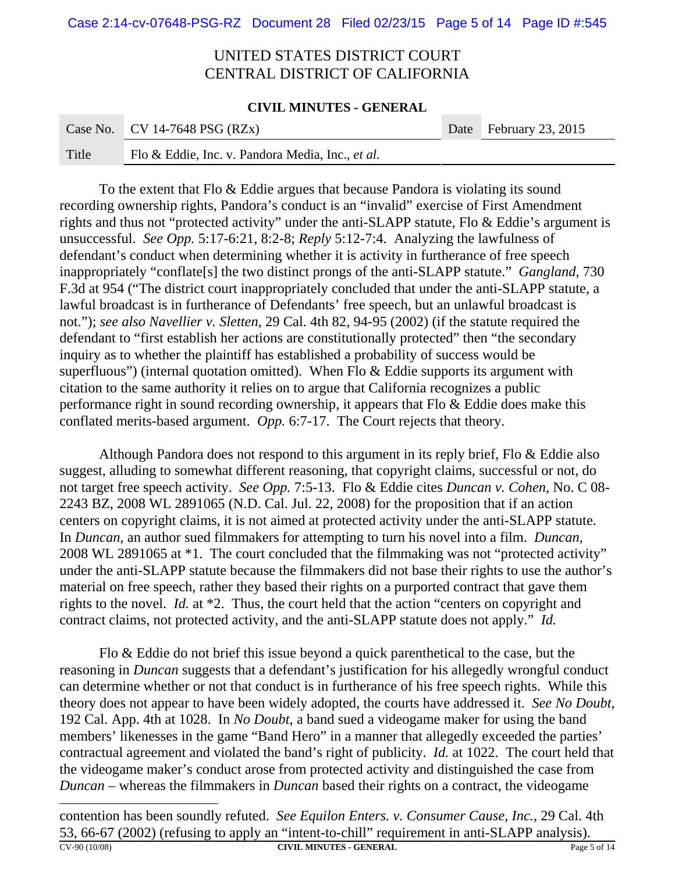#### **CIVIL MINUTES - GENERAL**

|       | Case No.   CV 14-7648 PSG (RZx)                  | Date February 23, 2015 |
|-------|--------------------------------------------------|------------------------|
| Title | Flo & Eddie, Inc. v. Pandora Media, Inc., et al. |                        |

To the extent that Flo & Eddie argues that because Pandora is violating its sound recording ownership rights, Pandora's conduct is an "invalid" exercise of First Amendment rights and thus not "protected activity" under the anti-SLAPP statute, Flo & Eddie's argument is unsuccessful. *See Opp.* 5:17-6:21, 8:2-8; *Reply* 5:12-7:4. Analyzing the lawfulness of defendant's conduct when determining whether it is activity in furtherance of free speech inappropriately "conflate[s] the two distinct prongs of the anti-SLAPP statute." *Gangland*, 730 F.3d at 954 ("The district court inappropriately concluded that under the anti-SLAPP statute, a lawful broadcast is in furtherance of Defendants' free speech, but an unlawful broadcast is not."); *see also Navellier v. Sletten*, 29 Cal. 4th 82, 94-95 (2002) (if the statute required the defendant to "first establish her actions are constitutionally protected" then "the secondary inquiry as to whether the plaintiff has established a probability of success would be superfluous") (internal quotation omitted). When Flo & Eddie supports its argument with citation to the same authority it relies on to argue that California recognizes a public performance right in sound recording ownership, it appears that Flo & Eddie does make this conflated merits-based argument. *Opp.* 6:7-17. The Court rejects that theory.

Although Pandora does not respond to this argument in its reply brief, Flo & Eddie also suggest, alluding to somewhat different reasoning, that copyright claims, successful or not, do not target free speech activity. *See Opp.* 7:5-13. Flo & Eddie cites *Duncan v. Cohen*, No. C 08- 2243 BZ, 2008 WL 2891065 (N.D. Cal. Jul. 22, 2008) for the proposition that if an action centers on copyright claims, it is not aimed at protected activity under the anti-SLAPP statute. In *Duncan*, an author sued filmmakers for attempting to turn his novel into a film. *Duncan*, 2008 WL 2891065 at \*1. The court concluded that the filmmaking was not "protected activity" under the anti-SLAPP statute because the filmmakers did not base their rights to use the author's material on free speech, rather they based their rights on a purported contract that gave them rights to the novel. *Id.* at \*2. Thus, the court held that the action "centers on copyright and contract claims, not protected activity, and the anti-SLAPP statute does not apply." *Id.*

Flo & Eddie do not brief this issue beyond a quick parenthetical to the case, but the reasoning in *Duncan* suggests that a defendant's justification for his allegedly wrongful conduct can determine whether or not that conduct is in furtherance of his free speech rights. While this theory does not appear to have been widely adopted, the courts have addressed it. *See No Doubt*, 192 Cal. App. 4th at 1028. In *No Doubt*, a band sued a videogame maker for using the band members' likenesses in the game "Band Hero" in a manner that allegedly exceeded the parties' contractual agreement and violated the band's right of publicity. *Id.* at 1022. The court held that the videogame maker's conduct arose from protected activity and distinguished the case from *Duncan* – whereas the filmmakers in *Duncan* based their rights on a contract, the videogame

contention has been soundly refuted. *See Equilon Enters. v. Consumer Cause, Inc.*, 29 Cal. 4th 53, 66-67 (2002) (refusing to apply an "intent-to-chill" requirement in anti-SLAPP analysis). **CV-90 (10/08) CIVIL MINUTES - GENERAL** Page 5 of 14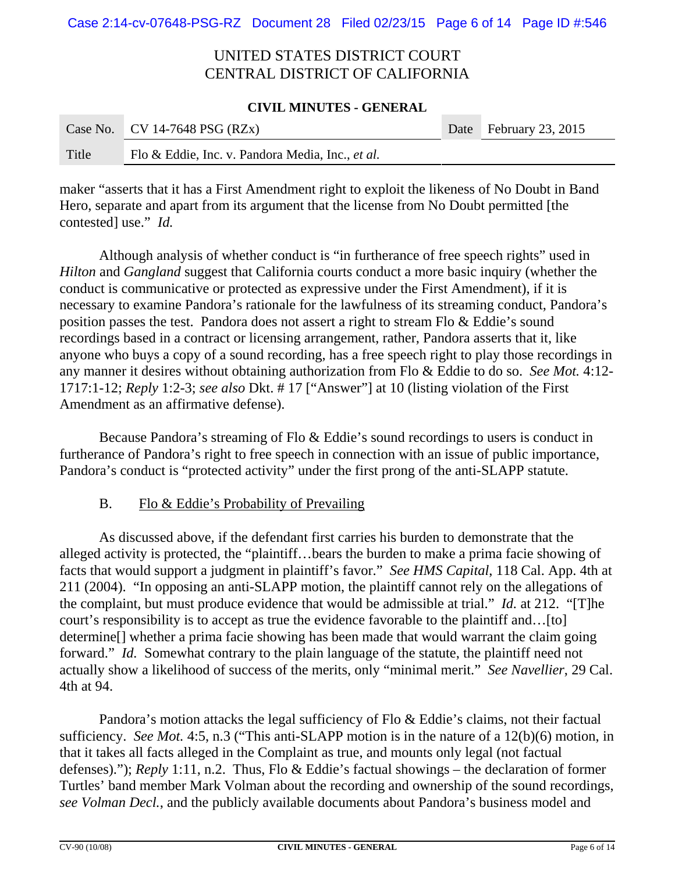#### **CIVIL MINUTES - GENERAL**

|       | Case No. CV 14-7648 PSG $(RZx)$                  | Date February 23, 2015 |
|-------|--------------------------------------------------|------------------------|
| Title | Flo & Eddie, Inc. v. Pandora Media, Inc., et al. |                        |

maker "asserts that it has a First Amendment right to exploit the likeness of No Doubt in Band Hero, separate and apart from its argument that the license from No Doubt permitted [the contested] use." *Id.*

Although analysis of whether conduct is "in furtherance of free speech rights" used in *Hilton* and *Gangland* suggest that California courts conduct a more basic inquiry (whether the conduct is communicative or protected as expressive under the First Amendment), if it is necessary to examine Pandora's rationale for the lawfulness of its streaming conduct, Pandora's position passes the test. Pandora does not assert a right to stream Flo & Eddie's sound recordings based in a contract or licensing arrangement, rather, Pandora asserts that it, like anyone who buys a copy of a sound recording, has a free speech right to play those recordings in any manner it desires without obtaining authorization from Flo & Eddie to do so. *See Mot.* 4:12- 1717:1-12; *Reply* 1:2-3; *see also* Dkt. # 17 ["Answer"] at 10 (listing violation of the First Amendment as an affirmative defense).

Because Pandora's streaming of Flo & Eddie's sound recordings to users is conduct in furtherance of Pandora's right to free speech in connection with an issue of public importance, Pandora's conduct is "protected activity" under the first prong of the anti-SLAPP statute.

### B. Flo & Eddie's Probability of Prevailing

As discussed above, if the defendant first carries his burden to demonstrate that the alleged activity is protected, the "plaintiff…bears the burden to make a prima facie showing of facts that would support a judgment in plaintiff's favor." *See HMS Capital*, 118 Cal. App. 4th at 211 (2004). "In opposing an anti-SLAPP motion, the plaintiff cannot rely on the allegations of the complaint, but must produce evidence that would be admissible at trial." *Id.* at 212. "[T]he court's responsibility is to accept as true the evidence favorable to the plaintiff and...[to] determine[] whether a prima facie showing has been made that would warrant the claim going forward." *Id.* Somewhat contrary to the plain language of the statute, the plaintiff need not actually show a likelihood of success of the merits, only "minimal merit." *See Navellier*, 29 Cal. 4th at 94.

Pandora's motion attacks the legal sufficiency of Flo & Eddie's claims, not their factual sufficiency. *See Mot.* 4:5, n.3 ("This anti-SLAPP motion is in the nature of a 12(b)(6) motion, in that it takes all facts alleged in the Complaint as true, and mounts only legal (not factual defenses)."); *Reply* 1:11, n.2. Thus, Flo & Eddie's factual showings – the declaration of former Turtles' band member Mark Volman about the recording and ownership of the sound recordings, *see Volman Decl.*, and the publicly available documents about Pandora's business model and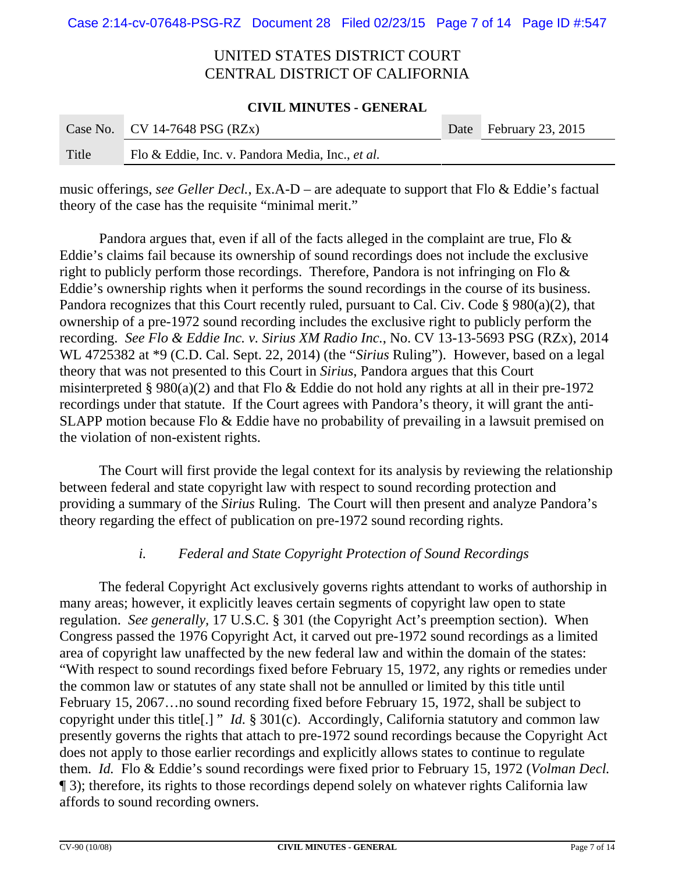#### **CIVIL MINUTES - GENERAL**

|       | Case No. CV 14-7648 PSG $(RZx)$                  | Date February 23, 2015 |
|-------|--------------------------------------------------|------------------------|
| Title | Flo & Eddie, Inc. v. Pandora Media, Inc., et al. |                        |

music offerings, *see Geller Decl.*, Ex.A-D – are adequate to support that Flo & Eddie's factual theory of the case has the requisite "minimal merit."

Pandora argues that, even if all of the facts alleged in the complaint are true, Flo  $\&$ Eddie's claims fail because its ownership of sound recordings does not include the exclusive right to publicly perform those recordings. Therefore, Pandora is not infringing on Flo & Eddie's ownership rights when it performs the sound recordings in the course of its business. Pandora recognizes that this Court recently ruled, pursuant to Cal. Civ. Code § 980(a)(2), that ownership of a pre-1972 sound recording includes the exclusive right to publicly perform the recording. *See Flo & Eddie Inc. v. Sirius XM Radio Inc.*, No. CV 13-13-5693 PSG (RZx), 2014 WL 4725382 at \*9 (C.D. Cal. Sept. 22, 2014) (the "*Sirius* Ruling"). However, based on a legal theory that was not presented to this Court in *Sirius*, Pandora argues that this Court misinterpreted § 980(a)(2) and that Flo & Eddie do not hold any rights at all in their pre-1972 recordings under that statute. If the Court agrees with Pandora's theory, it will grant the anti-SLAPP motion because Flo & Eddie have no probability of prevailing in a lawsuit premised on the violation of non-existent rights.

The Court will first provide the legal context for its analysis by reviewing the relationship between federal and state copyright law with respect to sound recording protection and providing a summary of the *Sirius* Ruling. The Court will then present and analyze Pandora's theory regarding the effect of publication on pre-1972 sound recording rights.

### *i. Federal and State Copyright Protection of Sound Recordings*

The federal Copyright Act exclusively governs rights attendant to works of authorship in many areas; however, it explicitly leaves certain segments of copyright law open to state regulation. *See generally,* 17 U.S.C. § 301 (the Copyright Act's preemption section). When Congress passed the 1976 Copyright Act, it carved out pre-1972 sound recordings as a limited area of copyright law unaffected by the new federal law and within the domain of the states: "With respect to sound recordings fixed before February 15, 1972, any rights or remedies under the common law or statutes of any state shall not be annulled or limited by this title until February 15, 2067…no sound recording fixed before February 15, 1972, shall be subject to copyright under this title[.] " *Id.* § 301(c). Accordingly, California statutory and common law presently governs the rights that attach to pre-1972 sound recordings because the Copyright Act does not apply to those earlier recordings and explicitly allows states to continue to regulate them. *Id.* Flo & Eddie's sound recordings were fixed prior to February 15, 1972 (*Volman Decl.* ¶ 3); therefore, its rights to those recordings depend solely on whatever rights California law affords to sound recording owners.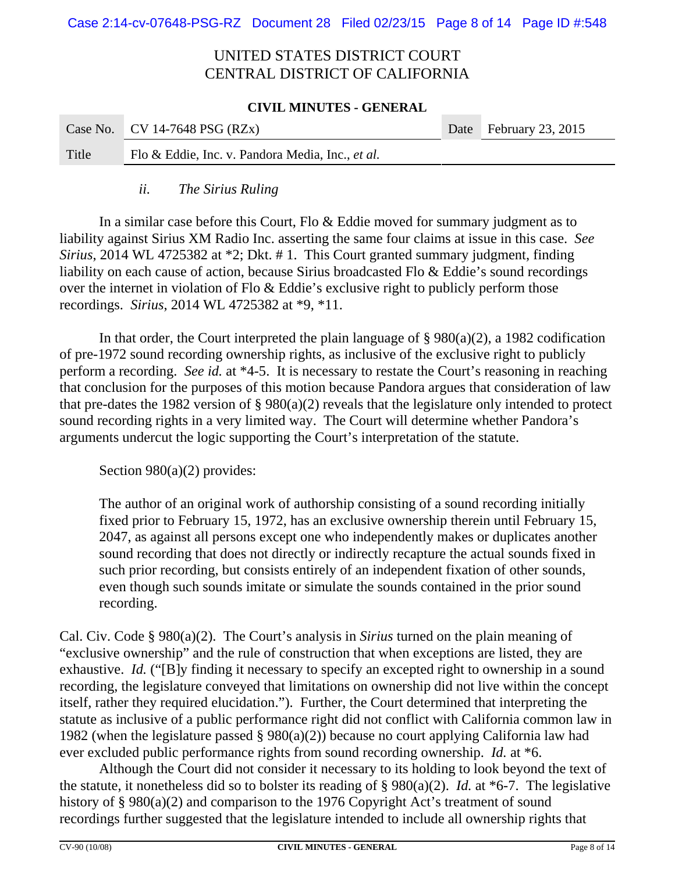#### **CIVIL MINUTES - GENERAL**

|       | Case No. CV 14-7648 PSG (RZx)                    | Date February 23, 2015 |
|-------|--------------------------------------------------|------------------------|
| Title | Flo & Eddie, Inc. v. Pandora Media, Inc., et al. |                        |

### *ii. The Sirius Ruling*

In a similar case before this Court, Flo & Eddie moved for summary judgment as to liability against Sirius XM Radio Inc. asserting the same four claims at issue in this case. *See Sirius*, 2014 WL 4725382 at \*2; Dkt. # 1. This Court granted summary judgment, finding liability on each cause of action, because Sirius broadcasted Flo & Eddie's sound recordings over the internet in violation of Flo & Eddie's exclusive right to publicly perform those recordings. *Sirius*, 2014 WL 4725382 at \*9, \*11.

In that order, the Court interpreted the plain language of  $\S 980(a)(2)$ , a 1982 codification of pre-1972 sound recording ownership rights, as inclusive of the exclusive right to publicly perform a recording. *See id.* at \*4-5. It is necessary to restate the Court's reasoning in reaching that conclusion for the purposes of this motion because Pandora argues that consideration of law that pre-dates the 1982 version of § 980(a)(2) reveals that the legislature only intended to protect sound recording rights in a very limited way. The Court will determine whether Pandora's arguments undercut the logic supporting the Court's interpretation of the statute.

Section 980(a)(2) provides:

The author of an original work of authorship consisting of a sound recording initially fixed prior to February 15, 1972, has an exclusive ownership therein until February 15, 2047, as against all persons except one who independently makes or duplicates another sound recording that does not directly or indirectly recapture the actual sounds fixed in such prior recording, but consists entirely of an independent fixation of other sounds, even though such sounds imitate or simulate the sounds contained in the prior sound recording.

Cal. Civ. Code § 980(a)(2). The Court's analysis in *Sirius* turned on the plain meaning of "exclusive ownership" and the rule of construction that when exceptions are listed, they are exhaustive. *Id.* ("[B]y finding it necessary to specify an excepted right to ownership in a sound recording, the legislature conveyed that limitations on ownership did not live within the concept itself, rather they required elucidation."). Further, the Court determined that interpreting the statute as inclusive of a public performance right did not conflict with California common law in 1982 (when the legislature passed  $\S 980(a)(2)$ ) because no court applying California law had ever excluded public performance rights from sound recording ownership. *Id.* at \*6.

Although the Court did not consider it necessary to its holding to look beyond the text of the statute, it nonetheless did so to bolster its reading of § 980(a)(2). *Id.* at \*6-7. The legislative history of § 980(a)(2) and comparison to the 1976 Copyright Act's treatment of sound recordings further suggested that the legislature intended to include all ownership rights that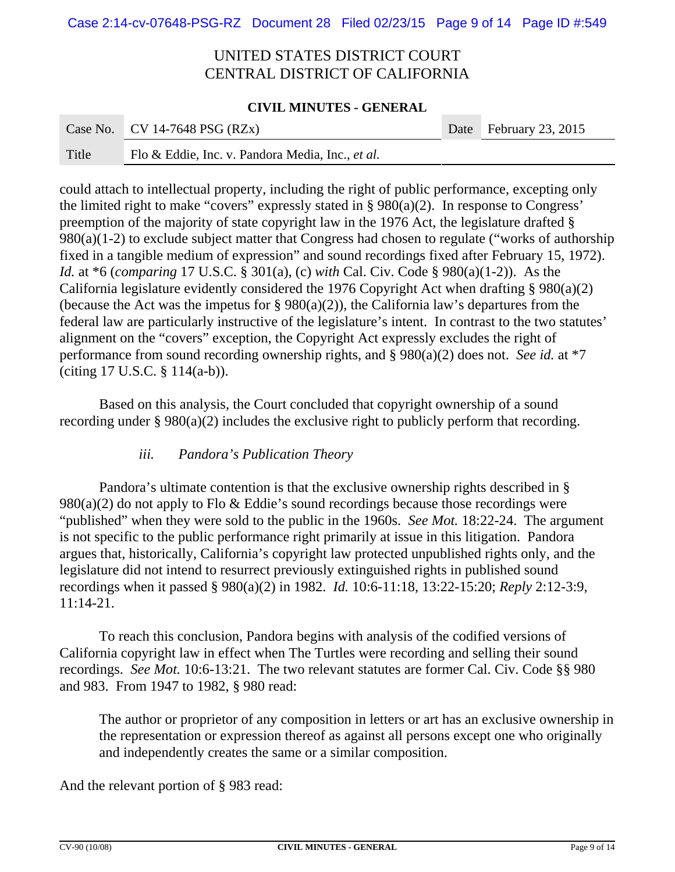#### **CIVIL MINUTES - GENERAL**

|       | Case No.   CV 14-7648 PSG (RZx)                  | Date February 23, 2015 |
|-------|--------------------------------------------------|------------------------|
| Title | Flo & Eddie, Inc. v. Pandora Media, Inc., et al. |                        |

could attach to intellectual property, including the right of public performance, excepting only the limited right to make "covers" expressly stated in  $\S 980(a)(2)$ . In response to Congress' preemption of the majority of state copyright law in the 1976 Act, the legislature drafted § 980(a)(1-2) to exclude subject matter that Congress had chosen to regulate ("works of authorship fixed in a tangible medium of expression" and sound recordings fixed after February 15, 1972). *Id.* at \*6 (*comparing* 17 U.S.C. § 301(a), (c) *with* Cal. Civ. Code § 980(a)(1-2)). As the California legislature evidently considered the 1976 Copyright Act when drafting § 980(a)(2) (because the Act was the impetus for  $\S 980(a)(2)$ ), the California law's departures from the federal law are particularly instructive of the legislature's intent. In contrast to the two statutes' alignment on the "covers" exception, the Copyright Act expressly excludes the right of performance from sound recording ownership rights, and § 980(a)(2) does not. *See id.* at \*7 (citing 17 U.S.C. § 114(a-b)).

Based on this analysis, the Court concluded that copyright ownership of a sound recording under § 980(a)(2) includes the exclusive right to publicly perform that recording.

### *iii. Pandora's Publication Theory*

Pandora's ultimate contention is that the exclusive ownership rights described in §  $980(a)(2)$  do not apply to Flo & Eddie's sound recordings because those recordings were "published" when they were sold to the public in the 1960s. *See Mot.* 18:22-24. The argument is not specific to the public performance right primarily at issue in this litigation. Pandora argues that, historically, California's copyright law protected unpublished rights only, and the legislature did not intend to resurrect previously extinguished rights in published sound recordings when it passed § 980(a)(2) in 1982. *Id.* 10:6-11:18, 13:22-15:20; *Reply* 2:12-3:9, 11:14-21.

To reach this conclusion, Pandora begins with analysis of the codified versions of California copyright law in effect when The Turtles were recording and selling their sound recordings. *See Mot.* 10:6-13:21. The two relevant statutes are former Cal. Civ. Code §§ 980 and 983. From 1947 to 1982, § 980 read:

The author or proprietor of any composition in letters or art has an exclusive ownership in the representation or expression thereof as against all persons except one who originally and independently creates the same or a similar composition.

And the relevant portion of § 983 read: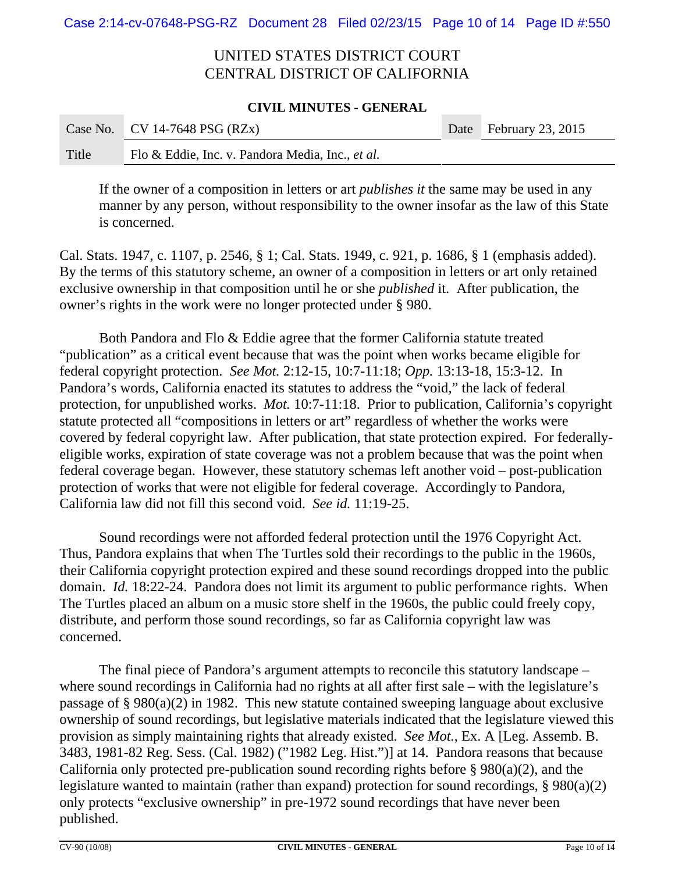#### **CIVIL MINUTES - GENERAL**

|       | Case No.   CV 14-7648 PSG (RZx)                  | Date February 23, 2015 |
|-------|--------------------------------------------------|------------------------|
| Title | Flo & Eddie, Inc. v. Pandora Media, Inc., et al. |                        |

If the owner of a composition in letters or art *publishes it* the same may be used in any manner by any person, without responsibility to the owner insofar as the law of this State is concerned.

Cal. Stats. 1947, c. 1107, p. 2546, § 1; Cal. Stats. 1949, c. 921, p. 1686, § 1 (emphasis added). By the terms of this statutory scheme, an owner of a composition in letters or art only retained exclusive ownership in that composition until he or she *published* it. After publication, the owner's rights in the work were no longer protected under § 980.

Both Pandora and Flo & Eddie agree that the former California statute treated "publication" as a critical event because that was the point when works became eligible for federal copyright protection. *See Mot.* 2:12-15, 10:7-11:18; *Opp.* 13:13-18, 15:3-12. In Pandora's words, California enacted its statutes to address the "void," the lack of federal protection, for unpublished works. *Mot.* 10:7-11:18. Prior to publication, California's copyright statute protected all "compositions in letters or art" regardless of whether the works were covered by federal copyright law. After publication, that state protection expired. For federallyeligible works, expiration of state coverage was not a problem because that was the point when federal coverage began. However, these statutory schemas left another void – post-publication protection of works that were not eligible for federal coverage. Accordingly to Pandora, California law did not fill this second void. *See id.* 11:19-25.

Sound recordings were not afforded federal protection until the 1976 Copyright Act. Thus, Pandora explains that when The Turtles sold their recordings to the public in the 1960s, their California copyright protection expired and these sound recordings dropped into the public domain. *Id.* 18:22-24. Pandora does not limit its argument to public performance rights. When The Turtles placed an album on a music store shelf in the 1960s, the public could freely copy, distribute, and perform those sound recordings, so far as California copyright law was concerned.

The final piece of Pandora's argument attempts to reconcile this statutory landscape – where sound recordings in California had no rights at all after first sale – with the legislature's passage of § 980(a)(2) in 1982. This new statute contained sweeping language about exclusive ownership of sound recordings, but legislative materials indicated that the legislature viewed this provision as simply maintaining rights that already existed. *See Mot.*, Ex. A [Leg. Assemb. B. 3483, 1981-82 Reg. Sess. (Cal. 1982) ("1982 Leg. Hist.")] at 14. Pandora reasons that because California only protected pre-publication sound recording rights before § 980(a)(2), and the legislature wanted to maintain (rather than expand) protection for sound recordings, § 980(a)(2) only protects "exclusive ownership" in pre-1972 sound recordings that have never been published.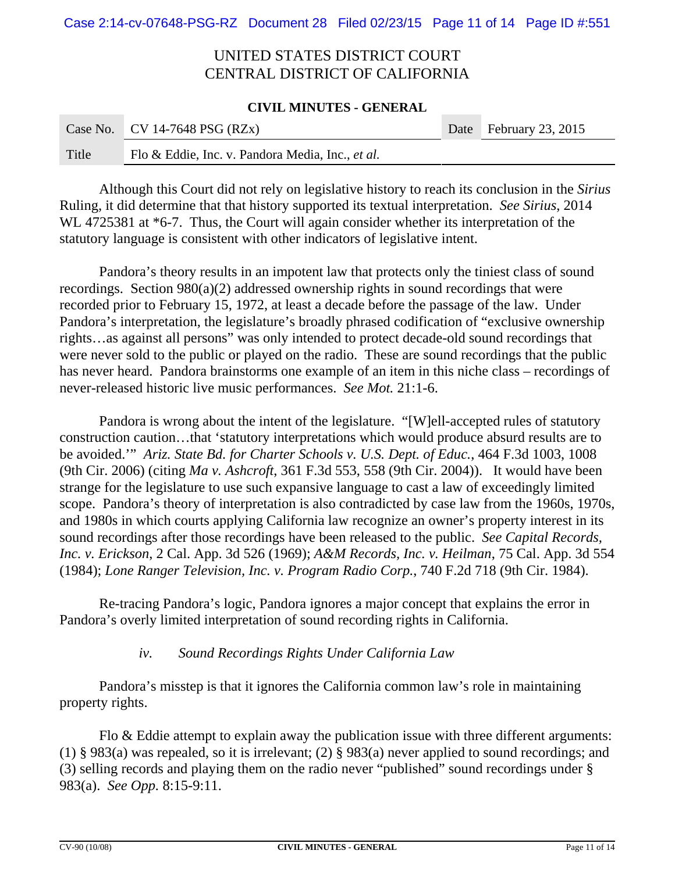#### **CIVIL MINUTES - GENERAL**

|       | Case No.   CV 14-7648 PSG (RZx)                  | Date February 23, 2015 |
|-------|--------------------------------------------------|------------------------|
| Title | Flo & Eddie, Inc. v. Pandora Media, Inc., et al. |                        |

Although this Court did not rely on legislative history to reach its conclusion in the *Sirius* Ruling, it did determine that that history supported its textual interpretation. *See Sirius*, 2014 WL 4725381 at  $*6$ -7. Thus, the Court will again consider whether its interpretation of the statutory language is consistent with other indicators of legislative intent.

Pandora's theory results in an impotent law that protects only the tiniest class of sound recordings. Section 980(a)(2) addressed ownership rights in sound recordings that were recorded prior to February 15, 1972, at least a decade before the passage of the law. Under Pandora's interpretation, the legislature's broadly phrased codification of "exclusive ownership rights…as against all persons" was only intended to protect decade-old sound recordings that were never sold to the public or played on the radio. These are sound recordings that the public has never heard. Pandora brainstorms one example of an item in this niche class – recordings of never-released historic live music performances. *See Mot.* 21:1-6.

Pandora is wrong about the intent of the legislature. "[W]ell-accepted rules of statutory construction caution…that 'statutory interpretations which would produce absurd results are to be avoided.'" *Ariz. State Bd. for Charter Schools v. U.S. Dept. of Educ.*, 464 F.3d 1003, 1008 (9th Cir. 2006) (citing *Ma v. Ashcroft*, 361 F.3d 553, 558 (9th Cir. 2004)). It would have been strange for the legislature to use such expansive language to cast a law of exceedingly limited scope. Pandora's theory of interpretation is also contradicted by case law from the 1960s, 1970s, and 1980s in which courts applying California law recognize an owner's property interest in its sound recordings after those recordings have been released to the public. *See Capital Records, Inc. v. Erickson*, 2 Cal. App. 3d 526 (1969); *A&M Records, Inc. v. Heilman*, 75 Cal. App. 3d 554 (1984); *Lone Ranger Television, Inc. v. Program Radio Corp.*, 740 F.2d 718 (9th Cir. 1984).

 Re-tracing Pandora's logic, Pandora ignores a major concept that explains the error in Pandora's overly limited interpretation of sound recording rights in California.

### *iv. Sound Recordings Rights Under California Law*

Pandora's misstep is that it ignores the California common law's role in maintaining property rights.

Flo & Eddie attempt to explain away the publication issue with three different arguments: (1) § 983(a) was repealed, so it is irrelevant; (2) § 983(a) never applied to sound recordings; and (3) selling records and playing them on the radio never "published" sound recordings under § 983(a). *See Opp.* 8:15-9:11.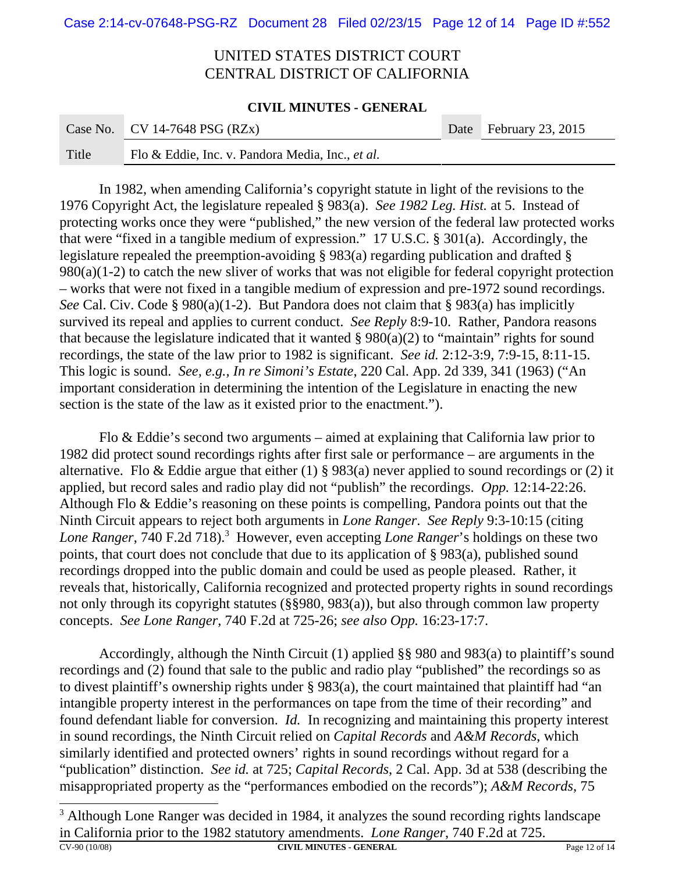#### **CIVIL MINUTES - GENERAL**

|       | Case No.   CV 14-7648 PSG (RZx)                  | Date February 23, 2015 |
|-------|--------------------------------------------------|------------------------|
| Title | Flo & Eddie, Inc. v. Pandora Media, Inc., et al. |                        |

In 1982, when amending California's copyright statute in light of the revisions to the 1976 Copyright Act, the legislature repealed § 983(a). *See 1982 Leg. Hist.* at 5. Instead of protecting works once they were "published," the new version of the federal law protected works that were "fixed in a tangible medium of expression." 17 U.S.C. § 301(a). Accordingly, the legislature repealed the preemption-avoiding § 983(a) regarding publication and drafted § 980(a)(1-2) to catch the new sliver of works that was not eligible for federal copyright protection – works that were not fixed in a tangible medium of expression and pre-1972 sound recordings. *See* Cal. Civ. Code § 980(a)(1-2). But Pandora does not claim that § 983(a) has implicitly survived its repeal and applies to current conduct. *See Reply* 8:9-10. Rather, Pandora reasons that because the legislature indicated that it wanted  $\S 980(a)(2)$  to "maintain" rights for sound recordings, the state of the law prior to 1982 is significant. *See id.* 2:12-3:9, 7:9-15, 8:11-15. This logic is sound. *See, e.g., In re Simoni's Estate*, 220 Cal. App. 2d 339, 341 (1963) ("An important consideration in determining the intention of the Legislature in enacting the new section is the state of the law as it existed prior to the enactment.").

Flo & Eddie's second two arguments – aimed at explaining that California law prior to 1982 did protect sound recordings rights after first sale or performance – are arguments in the alternative. Flo & Eddie argue that either (1) § 983(a) never applied to sound recordings or (2) it applied, but record sales and radio play did not "publish" the recordings. *Opp.* 12:14-22:26. Although Flo & Eddie's reasoning on these points is compelling, Pandora points out that the Ninth Circuit appears to reject both arguments in *Lone Ranger*. *See Reply* 9:3-10:15 (citing Lone Ranger, 740 F.2d 718).<sup>3</sup> However, even accepting *Lone Ranger*'s holdings on these two points, that court does not conclude that due to its application of § 983(a), published sound recordings dropped into the public domain and could be used as people pleased. Rather, it reveals that, historically, California recognized and protected property rights in sound recordings not only through its copyright statutes (§§980, 983(a)), but also through common law property concepts. *See Lone Ranger*, 740 F.2d at 725-26; *see also Opp.* 16:23-17:7.

Accordingly, although the Ninth Circuit (1) applied §§ 980 and 983(a) to plaintiff's sound recordings and (2) found that sale to the public and radio play "published" the recordings so as to divest plaintiff's ownership rights under § 983(a), the court maintained that plaintiff had "an intangible property interest in the performances on tape from the time of their recording" and found defendant liable for conversion. *Id.* In recognizing and maintaining this property interest in sound recordings, the Ninth Circuit relied on *Capital Records* and *A&M Records*, which similarly identified and protected owners' rights in sound recordings without regard for a "publication" distinction. *See id.* at 725; *Capital Records*, 2 Cal. App. 3d at 538 (describing the misappropriated property as the "performances embodied on the records"); *A&M Records*, 75

 $3$  Although Lone Ranger was decided in 1984, it analyzes the sound recording rights landscape in California prior to the 1982 statutory amendments. *Lone Ranger*, 740 F.2d at 725. **CV-90 (10/08) CIVIL MINUTES - GENERAL** Page 12 of 14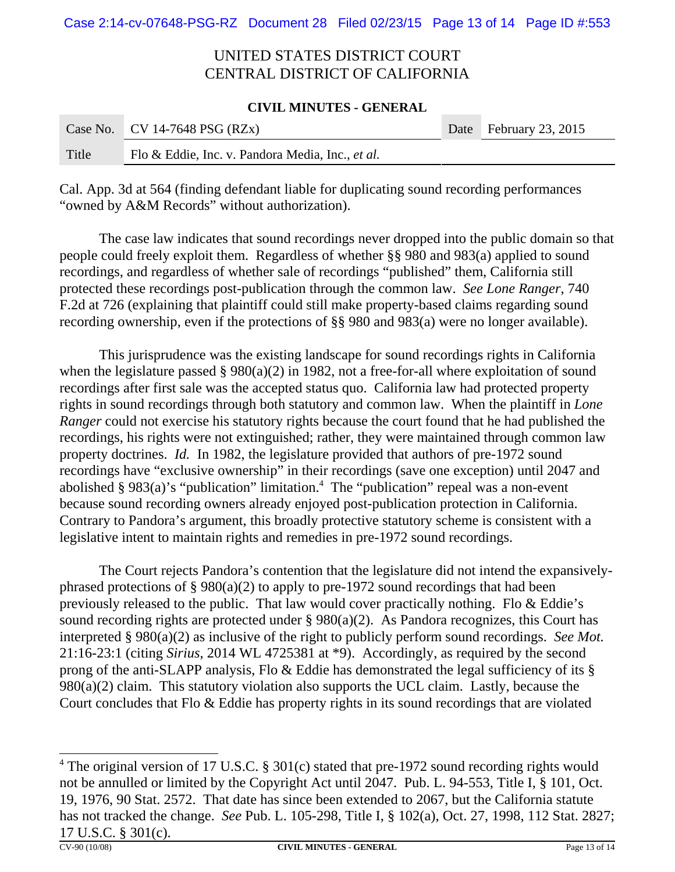#### **CIVIL MINUTES - GENERAL**

|       | Case No. CV 14-7648 PSG $(RZx)$                  | Date February 23, 2015 |
|-------|--------------------------------------------------|------------------------|
| Title | Flo & Eddie, Inc. v. Pandora Media, Inc., et al. |                        |

Cal. App. 3d at 564 (finding defendant liable for duplicating sound recording performances "owned by A&M Records" without authorization).

The case law indicates that sound recordings never dropped into the public domain so that people could freely exploit them. Regardless of whether §§ 980 and 983(a) applied to sound recordings, and regardless of whether sale of recordings "published" them, California still protected these recordings post-publication through the common law. *See Lone Ranger*, 740 F.2d at 726 (explaining that plaintiff could still make property-based claims regarding sound recording ownership, even if the protections of §§ 980 and 983(a) were no longer available).

This jurisprudence was the existing landscape for sound recordings rights in California when the legislature passed § 980(a)(2) in 1982, not a free-for-all where exploitation of sound recordings after first sale was the accepted status quo. California law had protected property rights in sound recordings through both statutory and common law. When the plaintiff in *Lone Ranger* could not exercise his statutory rights because the court found that he had published the recordings, his rights were not extinguished; rather, they were maintained through common law property doctrines. *Id.* In 1982, the legislature provided that authors of pre-1972 sound recordings have "exclusive ownership" in their recordings (save one exception) until 2047 and abolished § 983(a)'s "publication" limitation.<sup>4</sup> The "publication" repeal was a non-event because sound recording owners already enjoyed post-publication protection in California. Contrary to Pandora's argument, this broadly protective statutory scheme is consistent with a legislative intent to maintain rights and remedies in pre-1972 sound recordings.

The Court rejects Pandora's contention that the legislature did not intend the expansivelyphrased protections of  $\S 980(a)(2)$  to apply to pre-1972 sound recordings that had been previously released to the public. That law would cover practically nothing. Flo & Eddie's sound recording rights are protected under  $\S 980(a)(2)$ . As Pandora recognizes, this Court has interpreted § 980(a)(2) as inclusive of the right to publicly perform sound recordings. *See Mot.* 21:16-23:1 (citing *Sirius*, 2014 WL 4725381 at \*9). Accordingly, as required by the second prong of the anti-SLAPP analysis, Flo & Eddie has demonstrated the legal sufficiency of its § 980(a)(2) claim. This statutory violation also supports the UCL claim. Lastly, because the Court concludes that Flo & Eddie has property rights in its sound recordings that are violated

<sup>&</sup>lt;sup>4</sup> The original version of 17 U.S.C. § 301(c) stated that pre-1972 sound recording rights would not be annulled or limited by the Copyright Act until 2047. Pub. L. 94-553, Title I, § 101, Oct. 19, 1976, 90 Stat. 2572. That date has since been extended to 2067, but the California statute has not tracked the change. *See* Pub. L. 105-298, Title I, § 102(a), Oct. 27, 1998, 112 Stat. 2827; 17 U.S.C. § 301(c).